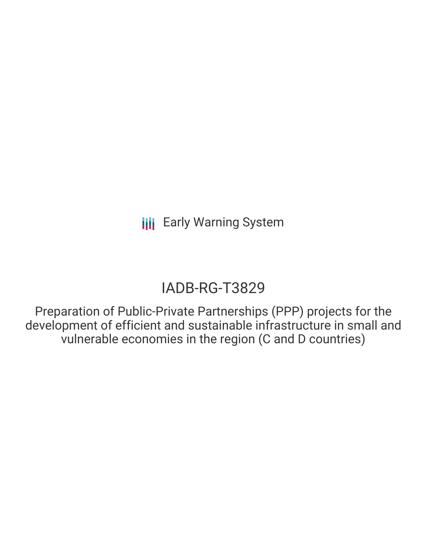# IADB-RG-T3829

Preparation of Public-Private Partnerships (PPP) projects for the development of efficient and sustainable infrastructure in small and vulnerable economies in the region (C and D countries)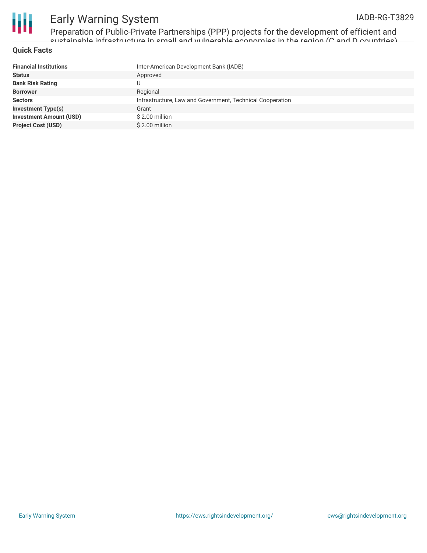

Preparation of Public-Private Partnerships (PPP) projects for the development of efficient and sustainable infrastructure in small and vulnerable economies in the region (C and D countries)

#### **Quick Facts**

| <b>Financial Institutions</b>  | Inter-American Development Bank (IADB)                    |
|--------------------------------|-----------------------------------------------------------|
| <b>Status</b>                  | Approved                                                  |
| <b>Bank Risk Rating</b>        |                                                           |
| <b>Borrower</b>                | Regional                                                  |
| <b>Sectors</b>                 | Infrastructure, Law and Government, Technical Cooperation |
| <b>Investment Type(s)</b>      | Grant                                                     |
| <b>Investment Amount (USD)</b> | \$2.00 million                                            |
| <b>Project Cost (USD)</b>      | \$2.00 million                                            |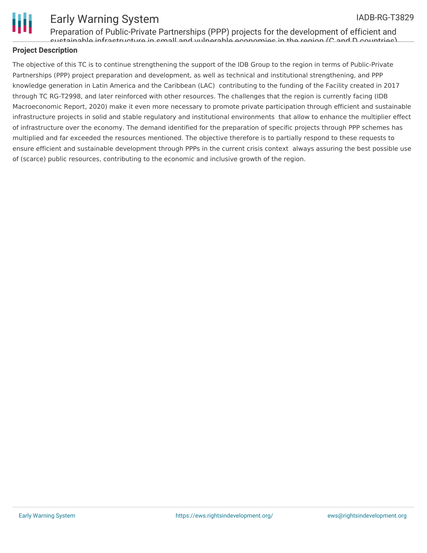

Preparation of Public-Private Partnerships (PPP) projects for the development of efficient and sustainable infrastructure in small and vulnerable economies in the region (C and D countries)

### **Project Description**

The objective of this TC is to continue strengthening the support of the IDB Group to the region in terms of Public-Private Partnerships (PPP) project preparation and development, as well as technical and institutional strengthening, and PPP knowledge generation in Latin America and the Caribbean (LAC) contributing to the funding of the Facility created in 2017 through TC RG-T2998, and later reinforced with other resources. The challenges that the region is currently facing (IDB Macroeconomic Report, 2020) make it even more necessary to promote private participation through efficient and sustainable infrastructure projects in solid and stable regulatory and institutional environments that allow to enhance the multiplier effect of infrastructure over the economy. The demand identified for the preparation of specific projects through PPP schemes has multiplied and far exceeded the resources mentioned. The objective therefore is to partially respond to these requests to ensure efficient and sustainable development through PPPs in the current crisis context always assuring the best possible use of (scarce) public resources, contributing to the economic and inclusive growth of the region.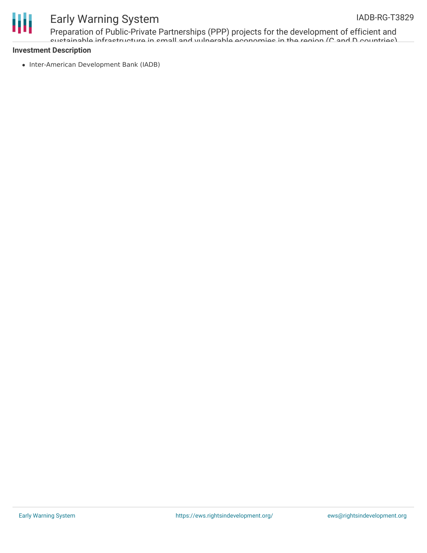

Preparation of Public-Private Partnerships (PPP) projects for the development of efficient and sustainable infrastructure in small and vulnerable economies in the region (C and D countries)

### **Investment Description**

• Inter-American Development Bank (IADB)